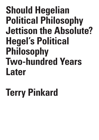# **Should Hegelian Political Philosophy Jettison the Absolute? Hegel's Political Philosophy Two-hundred Years Later**

# **Terry Pinkard**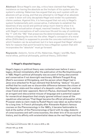**Abstract:** Since Hegel's own day, critics have claimed that Hegel's insistence on having the absolute as the linchpin of his system was the system's undoing. Habermas has argued that any such system with an absolute will go wrong, and that any attempt to rid Hegel of an absolute or water it down will only decapitate Hegel and render his systematic claims useless. Against this, it is here argued that not only is Hegel's system fundamentally anti-conservative, it attempts to establish the baselines of any social and political setup much meet to show it is aimed at the actualization of equal, maximal freedom. This has to do with Hegel's conceptions of self-conscious life and his way of combining the "I" with the "We" that preserves the determinateness of each side without collapsing the one into the other. Hegel's conception of a moral ethos (*Sittlichkeit*) is supposed to provide the concrete institutions in which freedom can be actualized, but it is here argued that Hegel' attempt fails for reasons that point forward to how a Hegelian system that still incorporates the "absolute" must go forward.

**Keywords**: dialectic, forms of life, Habermas, Hegel, I and We, Kant, moral ethos, political philosophy, political theory, *Sittlichkeit*

### **I: Hegel's disputed legacy**

Hegel's legacy in political theory was contested even before it was a legacy. Almost immediately after the publication of the *Rechtsphilosophie* in 1820, Hegel's political philosophy was accused of being obscurantist and conservative if not downright reactionary. Wilhelm Traugott Krug (Kant's successor at Königsberg, and the person whom Hegel had in Jena once attacked for Krug's demand that Schelling "deduce" his pen) sniffed that he could see no discernible difference between the citizen of the Hegelian state and the subject of a despotic sultan.1 Hegel's onetime close friend and later opponent, Heinrich Paulus, dismissed the book as an arrogant and obscurantist misuse of language and a potential support for monarchical despotism that simply ignored without cause all the republican alternatives.<sup>2</sup>That Hegel became the official philosopher of the Prussian state (a claim made by Rudolf Haym) was taken as authoritative for a long time. In French philosophy after Alexandre Kojève's famous courses on the *Phenomenology* in the 1930's, it became fashionable to look at the author of the *Phenomenology of Spirit* with its edgy dialectic of consciousness and self-consciousness, the sheer brio of its account of history, and its affinity with existentialist ideas as the real Hegel and thus

1 See Hegel and Hoffmeister 1961, III, notes to #579, p. 430.

2 Riedel 1975, pp. 53-66.

& C R I T  $\mathbf{I}$  $\Omega$ U E / Volume 8

Issue 2

C R I S I S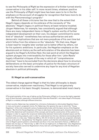to see the *Philosophy of Right* as the expression of a thinker turned stonily conservative in his older self. In more recent times, whatever positive use the *Philosophy of Right* might have has been seen to lie in the the emphasis on the account of struggles for recognition that have more to do with the *Phenomenology's* program.3

Behind all these criticisms lies the view that to the extent that Hegel's legacy depends on his embrace of the necessity of "the absolute," Hegel's legacy in political theory at least remains troubled. Jürgen Habermas, for example, has consistently argued that although there are many independent items in Hegel's system worthy of further independent development on their own, his deeper commitment to some kind of "absolute" nonetheless has various authoritarian and antidemocratic implications that are not mere prejudices of his own time but which follow from the reliance on the "absolute." On that view, Hegel is best read for insights later worked out to better effect by others, not for his systemic ambitions. In particular, the Hegelian emphasis on the absolute and on history as the self-articulation of the absolute has been argued to be Hegel's Achilles Heel, the real point at which the Hegelian system plunges into irretrievability for those after him.<sup>4</sup> John Rawls' hugely influential critiques of the way in which all "comprehensive doctrines" have to be excluded from the decisions about how to structure deliberations on the basic principles of justice for the basic structure of society have also served to undermine any hope for any kind of Hegelian absolute in political philosophy.

#### **II: Hegel as anti-conservative**

The oldest charge against Hegel is that his later philosophy is deeply conservative, maybe even reactionary. That Hegel is not genuinely conservative in his basic thought, however, is demonstrated most clearly

I S I S & C R I T I Q U E / Volume 8 Issue 2

C R

<sup>3</sup> The great exemplar of this way of taking up the *Philosophy of Right* is of course the highly regarded work of Axel Honneth, especially in Honneth 2013. See also Ruda 2011, who takes *Hegel's Philosophy of Right* in a related, although different direction.

<sup>4</sup> Most recently, Habermas has restated his criticisms of attempts to reformulate Hegelian theory in more, as he puts it, pragmatic terms. For Habermas, this ignores the way in which the "Young Hegelians" of the mid-nineteenth century fundamentally broke with the basic terms of the Hegelian system: "But first the Young Hegelians will have to take leave of absolute spirit, dissolve the totalizing bond of the dialectical self-movement of the concept, and bring the construction of the system to a collapse in order to cognize the reciprocal relationship between historically situated reason and the freedom of the acting subjects, and in order to understand how the two *intertwine* (*ineinandergreifen*) symmetrically in a risky way," Habermas 2019, p. 512. All of what he calls the neo-pragmatic attempts end up, as he puts it, "decapitating" the Hegelian system such that the simultaneous attempt to hold onto to Hegel's grand systemic commitments are thus in his view doomed to failure, p. 509 Such attempts rest, he says, on "feet of clay," p. 523 n 72. As we might put it, on Habermas' view, Hegelianism without the Absolute cannot be Hegelianism of any real sort, and Hegelianism with the Absolute is simply unacceptable.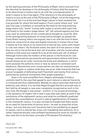by the opening premises of the *Philosophy of Right*, which proceed from the idea that he develops in his philosophy of history that the progress to be determined in history has to do with the conceptualization of what it means to be a free agent. (The reference to the philosophy of history occurs at the end of the *Philosophy of Right*, not at the beginning of the book, but it is at the end that Hegel claims to have revealed the true grounds for where the book begins.) From a point where only "one" was free (say, a chieftain or something like that) to the long enduring stage where only "some" (ruling male royals or aristocrats) were free and finally to the modern stage where "all" (all rational agents) are free is as clear as statement of non-conservative thought as could be. One of the distinguishing features of conservative thought, as people like Corey Robin among others has argued, has to do with the kind of basic desire for some kind of clear and legible hierarchy in human life so that it seems as if by nature or by some kind of eternal law, some were meant to rule over others.<sup>5</sup> As Aristotle noted, the mark of a free person is that they are not to live at the beck and call of another, and the conservative outlook is that some are indeed fit to be at the beck and call of others.<sup>6</sup> Although historically the holders of the places in the formula for rule change, conservatives persistently and passionately believe that there should always be an order involving hierarchy and obedience in which some possess the authority more or less by nature to command such obedience. (Sometimes such conservatives can also be revolutionaries wanting to topple or replace what they see as an older hierarchy that has proven incapable of defending itself. Twentieth and twenty-first century authoritarian political movements offer ample examples.)

Even in its most simplified form, Hegel's philosophy of history commits itself to the view that appeal to such natural or eternal hierarchy is irrational and thus indefensible. Nobody by nature exercises that kind of authority over others. It is not that Hegel thought that this principle was in fact held by all people or was even completely recognized as such in his own time. He thought it was actual – *wirklich*, in his arcane terminology – in the dynamics of modern life in that it was what was really at work in the revolutions of the eighteenth century and what he confidently predicted would be the consolidations of such a radical egalitarianism of freedom in the nineteenth century. It is also not that he thought that there would be no need for hierarchies of various sorts – he was no anarchist of any stripe – but only that any such hierarchy had to be justified by an appeal to reason, not to a natural law of any sort mandating that authority. (In a rather characteristically overconfident hermeneutical move for himself, he also took this to be the basic principle of Protestant Christianity.)

5 Robin 2018

6 Aristotle 1941, 1367a.

Issue 2

C R I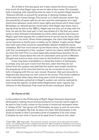All of that is fine and good, but it also raises the thorny issue of how much of what Hegel says we are to take at face value. For example, fully in keeping with everything else he says in his system Hegel asserts: "Descent affords no ground for granting or denying freedom and domination to human beings. The human is in itself rational; herein lies the possibility of equal right for all men and the nothingness of a rigid distinction between races which have rights and those which have none."7 Nowadays no rational person would deny what Hegel says there, but in saying what he did (in the 1820's), Hegel was not only out of step with his time, he was for the most part in fact way ahead of it. Yet that very same quote is then followed immediately by some rather painful exercises on Hegel's part that express the crudest forms of racism (as do many other passages in his work). Given those passages, the claim that Hegel held racist opinions is hardly even a matter up for debate. It gets worse: Hegel also held views that would be unqualifiedly labeled dreadfully sexist nowadays. But how much bound up are those views, which he clearly held, with the commitments of the "system" (which he clearly held)? Where do we draw the line? This is a more especially tendentious question for an age in which issues about the role of colonialism and racism in Western thought and practice have come more to the forefront of our debates.

It has long been a temptation in doing the history of philosophy to simply snip out such views from the text, claim that they do not follow from the system, and add that the author was simply misled by the prejudices of his time (but that he can be corrected so as to be fully in keeping with the our own views). However, that just amounts to dogmatically assuming our own views to be correct. This lends credence to the idea that what many have long seen a kind of progressive or even revolutionary potential in Hegel's system can only be realized by exorcising the specter of what holds Hegelianism back, namely, the reliance on the Absolute. That must be thrown overboard. Does it?

#### **III: Forms of life**

In the preface to the *Philosophy of Right*, Hegel famously disavowed philosophy's making moral pronouncements on how the world ought to be and on how it only comes on the scene in historical retrospect when a "shape of life" has grown old. Philosophy, he says, is only its own time grasped in thoughts. By that, he does not mean that philosophy is the study of trends or that it provides a kind of snapshot of its own times. It studies its own time in terms of its past (how it came to be), what

S I S & C R I T  $\mathbf{I}$ Q U E / Volume 8 Issue 2

C R I

<sup>7</sup> Hegel 1969c., §393. Hegel adds: "From descent, however, no reason can be derived for the entitlement or non-entitlement of men to freedom and dominion. Man is rational in himself (*an sich*); therein lies the possibility of the equality of rights of all people – the nullity of a rigid distinction into entitled and rightless human kinds."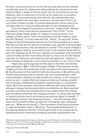the basic commitments of its current life are, and what are the relevant possibilities open for settlements about putting its commitments into practice. When a shape of life has grown old, its commitments are now relatively clear to itself even if it is still up for grabs how to actualize them, and it may be becoming clear that the old commitments have to be jettisoned if the more basic ones are to be kept alive. That is, its own times includes its past, its present absorptions, and its view of its ultimate shape to come (including perhaps its own disappearance).

Crucial to Hegel's formulation is his term, "shape of life" (*Gestalt des Lebens*), which could also be rendered as "form of life."8 In the *Phenomenology*, Hegel speaks of "shapes of consciousness," and "shapes of *Geist*, spirit," and in the transition from the chapters under the title "Reason" to those under the title, "Spirit", he says that "these shapes [of spirit] distinguish themselves from the preceding as a result that they are real spirits, genuine actualities, and, instead of being shapes only of consciousness, they are shapes of a world."9 This is part of Hegel's view that agency itself is social and not just in the anodyne sense that we learn the language we do from our linguistic surroundings, that we exhibit cultural modes we learn from those around us, and so on. It is the deeper view that our status as self-conscious rational agents (or "subjects") itself necessarily depends on our social involvement, on our "form of life."

Hegel sets up the argument for this point in the often commented upon passages in §§5-7 of the *Philosophy of Right*. (The argument moves, roughly put, from the introduction of the concept of self-consciousness in §5, the discussion of the content of self-consciousness in §6, and the unity of self-consciousness and its content in §7.) All consciousness is selfconsciousness in that the concept of what one is doing – in the concept of action as such – implies that one is aware of what one is doing, whether that is solving a mathematical equation, making dinner, or crossing the street. Self-consciousness need not be reflective self-consciousness, although it always has the potentiality to be reflective. As Sartre pointed out more succinctly, this emerges when one is asked what one is doing, and one replies something like "hanging a picture." In doing what one does to hang the picture, one is not thinking over and over again to oneself, "I am hanging a picture, I am hanging a picture,…" but that emerges often when one is incited to reflect on what one is doing (as when somebody asks you: "What are you doing?"). This conception of self-consciousness is captured by Kant's claim in §16 of his "Transcendental Deduction" in the opening sentence that the "I think must be able to accompany all my representations for otherwise something would be represented in me

9 Hegel and Pinkard 2018, ¶440.

S & C R I T  $\mathbf{I}$ Q U E / Volume 8

Issue 2

C R I S I

<sup>8</sup> One has to acknowledge that doing so would thus present difficulties for a translator to distinguish Hegel's use of "Form" from his use of "Gestalt"). Hegel uses "*Lebensform*" twice in his writings, both in the *Spirit of Christianity*, Hegel 1969d, pp. 395, 403.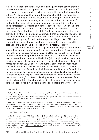which could not be thought at all, and that is equivalent to saying that the representation would be impossible, or at least would be nothing to me."10

What it does not do is provide any content to such thinking (and to willing).<sup>11</sup> It does provide a view of freedom as the ability to "step back" and choose among all the options, but that is an empty freedom since on its own it does not say anything about how the choice is to be made. For that to be the case, self-consciousness requires something that seems to be completely external to self-consciousness – "external" in the sense that it does not follow from the concept of self-consciousness taken apart on its own. Or, as Kant himself put it, "But I can think whatever I please, provided only that I do not contradict myself, that is, provided my concept is a possible thought."12 This is the "form of self-consciousness" which, taken alone, is purely formal, that is, empty. As Hegel puts it, "No new content is produced, but yet this form is a huge difference. It is on this distinction that all of the distinction in world history rests."13

At least for consciousness of objects, Kant had a quick answer about where the external content came from: the pure intuitions of space and time, which themselves were not concepts at all. Hegel, as is well known, thought that there could be no pure intuitions, and he did so for reasons which we can pass over here. However, unlike Fichte (who simply posited the Not-I to provide the externality, modeling it on the way in which perceptual content forces itself upon you), Hegel worked out that self-consciousness must start with content that follows (or seems to follow) from what it means to be a self-conscious life, and for which he substituted the term, *Geist*. In the *Phenomenology*, self-consciousness is first introduced as the concept of infinity comes to be explicit in the examinations of "consciousness" where the "understanding" is driven to develop an at first inchoate sense of the infinite whole within which the various discrete elements of consciousness take their sense.14 This whole is that is the case, that is, the world itself

10 Kant 1929, B131.

11 As Hegel puts it in his usual overly polemical manner, "Those who regard thinking as a particular and distinct *faculty*, divorced from the will as an equally distinct *faculty*, and who in addition even consider that thing is prejudicial to the will – especially the good will – show form the very outset that they are totally ignorant of the nature of the will." PR, §5.

12 Kant, CPR, bxxvii. We should add that this is the key meaning of "external" in the Hegelian context: B is external to A if it does not follow logically from A. This should prevent the Hegelian concept of externality from being confused with Cartesian ideas of "external to the mind" or from more commonsense ideas of a thing's being external to one's body.

13 Hegel, (Hegel 1969e), p. 40.

14 In the Hegel and Pinkard 2018, Hegel notes in ¶163 "As infinity is finally an object for consciousness, and consciousness is aware of it *as what it is*, so is consciousness *self-consciousness*." It is this that explains the kinds of antinomies that have been piling up in the "Consciousness" chapter; as Hegel puts it elsewhere, "This is correct insofar as the point of view of the understanding [*das Verständige*] is not something ultimate but far more something finite instead, and, more specifically, something of the sort that, pushed to the extreme, turns over into its opposite." (My underlining) Hegel 1969a, §80, vol. 8, p. 172.

U E /

C R I S  $\mathbf{I}$ S & C R I T I Q

Volume 8 Issue 2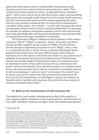taken as a whole beyond which is nothing. Self-consciousness must therefore come to its content at first as purely external to itself: "This content may further be given by nature , or generated by the concept of spirit,"<sup>15</sup> and it must come to terms with this content, make it into something that, where that is possible, itself follows from the concept of self-conscious life. This means that self-conscious life is always operating with some kind of a view, however inchoate at first, of some kind of comprehensive conception of the whole – the "infinite" – in which self-conscious life moves and operates, a whole which he took to calling the Absolute. This was what, for example, all religious conceptions propose to do for self-conscious life, and it was what Hegel also took the goal of philosophy to provide (and after writing the *Phenomenology*, he added art to that role).

The *Philosophy of Right* is labeled as the *Grundlinien* of the modern concept of "*Recht*" ("Right") in general – that is, of morality and ethics and law all taken together as one system of "Right." The *Grundlinien* are the conceptual baselines of a system of such "Right", that is, what is conceptually at stake in all the various contested settlements being proposed and worked out in the post-1815 European world. They are baselines a bit in the sense in which the lines drawn on, say, a tennis court establish the baselines for play without determining all the elements that go into the play. Hegel's strong thesis is that such baselines are to be developed in terms of how self-conscious life as understood in the modern terms of the equality of far-reaching freedom is to actualize itself. Since self-consciousness has to take its content from something external to self-consciousness ("nature or spirit," as he says), this content must be social, coming from some other self-consciousness external to the first one. On this interpretation of what Hegel is saying, this reliance on the externality of another self-conscious life (which becomes reciprocal reliance) constitutes *Geist* itself.16

#### **IV: Spirit as the manifestation of self-conscious life**

The baseline for such modern developments is that of the equality of wide ranging system of freedom as the starting point for all discussion of "the right," *das Recht*. However, as Hegel notes, this already presupposes

& C R I T  $\mathbf{I}$ Q U E / Volume 8

C R I S I S

<sup>15</sup> Hegel 1991), §6.

<sup>16</sup> In the rush of passages near the conclusion of the *Phenomenology*, Hegel begins his wrap up of what has gone on in the book by contrasting the "shapes of spirit" (the forms of self-conscious life) that have been discussed as the place "where it [spirit] knows itself not only as it is in itself, or according to its absolute content, and not only as it is for itself according to its contentless form, or according to the aspect of self-consciousness. Rather, it knows itself as it is in and for itself." ((Hegel and Pinkard 2018), ¶794). This alludes to the idea that in the vast area of contingency that is history, "contentless form" (i.e., self-consciousness) has appropriated that external content into its own set of comprehensive conceptions (i.e., of the Absolute) which it is now ready to comprehend as manifesting a kind of logic to itself that was not heretofore apparent.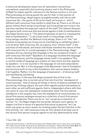a historical development away from all naturalistic hierarchical conceptions, especially that involving slavery, and in the *Philosophy of Right* he makes specific reference to the famous section in his own *Phenomenology* as having paved the way for that. In that section of the *Phenomenology*, Hegel begins straightforwardly with life as selfconscious life – the genus of life as for-itself, as he puts it – which different self-conscious lives exhibit in what they do. There is no life as a genus without there being living things, and living things are living in the way they manifest the (species) nature of life itself. The relation between the genus (self-conscious life) and actual agents is that of manifestation. (As Hegel bluntly puts it: "The determinateness of spirit is consequently that of manifestation."17) Life *shows* itself in living beings, and the living beings *manifest* life. Without living beings, there is no "life," but likewise living beings are living only by manifesting or exhibiting what it is to be alive. Self-conscious life, as a genus, thus "shows itself" in the activities of individuals, and these individuals manifest the nature of that self-conscious life. In crucial passages in the *Phenomenology*, Hegel sharpens this by claiming that language is the very existence of spirit – of self-conscious life itself.<sup>18</sup> Speakers of a language manifest the language in their utterances, and the language shows itself in its speakers. This is not the model of language as a system of rules which are then applied by speakers – it is not couched in the language of rule and subsumption under the rule. Nor is it the language of the *Baumeister*, that of foundation and structure built on top of the foundation with various beams holding it all together. Rather, it is the language of expression – of showing itself and manifesting something.

However, in the way that Hegel presents this at first in the *Phenomenology*, this is carried out at first only from the "standpoint of consciousness," that of seeing all things in terms of objects available to a perceiving, thinking subject. As such other agents present themselves to each other, as self-sufficient agents, that is, independent others with their own point of view, this standpoint complicates itself. The first-person standpoint in the singular has, from the standpoint of consciousness, no plural first-person analogue except as a collection of such first-person singular standpoints. There can be no "we" except as a collection of various "I's." As Hegel stages the encounter between such agents, he stages it at first in terms of a genuine first-plural (a genuine "we") as when one gives as one's reason for drinking water the fact that this is the kind of thing "we" self-conscious lives do. The refusal of at least one of the various first-person singular agents to be fully determined by what

17 Hegel 1969c., §383. C R I

<sup>18</sup> Among several places in the *Phenomenology* where Hegel makes such a claim, this is one of them: "Wir sehen hiermit wieder die *Sprache* als das Dasein des Geistes," Hegel and Pinkard 2018, ¶652. For the crucial role this plays in Hegel's developmental account of *Geist*, see Kern 2019, 2020.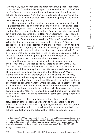"we" typically do, however, sets the stage for a struggle for recognition. If neither the "I" can be fully swamped or subsumed under the "we," and the "we" cannot be fully determinate on its own apart from the mere collectivity of individual "I's", then a struggle over who determines the "we" – who as an individual speaks (or is taken to speak) for the whole – becomes logically required.<sup>19</sup>

That language – in the Hegelian formula of the existence of spirit – is paradigmatic for the existence of a genuine first-person plural – steps into the background. It is still there, but what now counts is what "I" say, and the shared communicative structure of agency, as Habermas would put it, is thereby obscured and, in Hegel's own terms, thereby rendered "untrue." The demand that others structure their lives by what "I" say is the structure of domination and servitude (*Herrschaft und Knechtschaft*). When the first-person plural is taken over by a singular "I" (or the collective of a ruling class formed by the shared interests of an additive collection of "I's"), agency – in terms of the paradigm of language as the existence of spirit – is realized in a way that is at odds with itself. From a viewpoint that is developed later in the *Phenomenology*, it is in fact a distorted version of plural apperception, of a knowledge, so to speak, of "we think" possibly accompanying all our representations.

Hegel famously says in introducing his discussion of mastery and servitude that it will lead to "The *I* that is *we* and the *we* that is *I*."20 But that section does not fully deliver on that promise. It leads to an inadequate, additive conception of the "We" – not merely as a summation of various individual apperceptions, as in the statements "We are waiting for a bus" or "By accident, we all were wearing white shirts," but as a pretended plural apperception in which one or some claim to speak for the authority of the whole as if the whole has authorized them specifically to speak for what the whole licenses. The "master" (either as an individual, a collection of elders, a class, and so on) claims to speak with the authority of the whole, but that authority is imposed by force (and sustained by what Marx will later call ideology). Some claim to speak for all by virtue of nature or divine command or some other comprehension of the Absolute.

By way of the titles Hegel chose for that chapter, this first actualization of the conditions of agency as "The *I* that is *we* and the *we* that is *I*" succeeds in actualizing agency, but fails to provide a grasp of the Absolute that will turn out to be unable to survive submission to collective reflection and the actualization of that conception in history.

20 Hegel and Pinkard 2018, ¶177.

Issue 2

C R I S I

<sup>19</sup> In the *Philosophy of Right*, Hegel puts it this way: "The earlier and false appearance is associated with the spirit which has not gone beyond the point off view of its consciousness; the dialectic of the concept and of the as yet only immediate consciousness of freedom gives rise at this stage to the *struggle for recognition* and the relationship of *lordship* and *servitude*," Hegel 1991, §57, p. 87.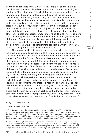The full and adequate realization of "The *I* that is *we* and the *we* that is *I*" does not happen until the last section much later in the book (the section on "beautiful souls") in which the second-person address comes to prominence through a confession on the part of two agents who acknowledge that the way in which they took their acts of conscience to be invisible to all but themselves as individuals is in fact unstainable both theoretically and existentially. They do not come to this conclusion discursively but instead, as Hegel puts it, "intuit" themselves in each other – they see, as it were, that the singular self-consciousness which they had taken to imply that each was metaphysically cut off from the other in their acts of conscience was in fact false. This shows, Hegel says, "the power of spirit over its determinate concept," $21$  that is, the capacity of this kind of self-conscious life to go beyond the way in which it has historically specifically actualized itself in determinate institutional and self-reflective ways ("its determinate concept"), which is in turn "a reciprocal recognition which is absolute spirit."<sup>22</sup>

This way of looking at Hegel's line of thought brings into view how the move is being made. We begin with a form of life (more specifically, a self-conscious form of life) that is manifested in various ways of thinking and acting.<sup>23</sup> As this form of life is actualized through the activities of its members (human agents), the issue of how in contested cases involving the individuals concerned, such conflicts are to be resolved in the terms of that form of life. Someone has to speak from the standpoint of the whole (the Absolute), and the most immediate way of resolving such conflicts is for one person or class of people to seize the position (by force and threats of death) of occupying that position in social space – I and I alone speak with the authority of the whole behind me – which leads to a flawed and distorted version of the shared form of life. This is not overcome until there is a recognition on the part of each that there is a certain moral equality among all the members, and that is first reached not so much by a discursive argument but by a kind of existential breakthrough in which each sees that the content of their own self-consciousness must incorporate the full externality of the others but nonetheless as subjects in their own right.<sup>24</sup> Only then is the promise of

21 Hegel and Pinkard 2018, ¶670.

23 There is a deeper issue here about whether invoking something like a "form of life" is intrinsically at odds with what Hegel is trying to do since it cannot adequately measure up to the crucially developmental aspect of Hegel's thought. This is the subject of an important paper, Alznauer 2016. The presentation of "form of life" presented here does not fall under what Alznauer calls quasi-transcendental arguments and does justice to the developmental dimensions of Hegel's thought.

24 How do certain people or classes manage to present themselves as embodying in their own selves the authority of the whole? This would be the Hegelian version of what Marx called ideology. The master who forces his competitor into servitude by threat of violent death will need some kind of legitimation to sustain his entitlement – something like the gods have willed it, the race goes to

C R I S I S & C R I T I Q U

<sup>22</sup> Hegel and Pinkard 2018, ¶670.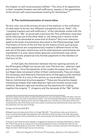the chapter on self-consciousness fulfilled: "The unity of its oppositions in their complete freedom and self-sufficiency, namely, in the oppositions of the various self-consciousnesses existing for themselves."25

## **V: The institutionalization of moral ethos**

On this view, one of the primary drivers of the dialectic is the unification of what seem to be two very different conceptions into an "Idea"– the "complete freedom and self-sufficiency" of the individuals united with the apperceptive "We" of social self-conscious life. This unification must also avoid reducing one to the other (that is, into being only a version of the other) or to be discarded as some kind of illusion.<sup>26</sup> Any such reduction leads to the kinds of anitinomies discussed in the *Phenomenology* itself. The history of forms of life will then be the history of how such groundlevel oppositions are comprehensively treated in different forms of life, and one of the basic distinctions will be what absolute commitments are manifested in it, even where these absolute commitments may not be fully discursively present as fully formed judgments to the members of that form of life.

In that light, the distinction between the two opening sections of the *Philosophy of Right* can be put into view. The first two – abstract right and morality – form the baselines of the modern European form of life, but Hegel does not present either of them institutionally. They are simply the necessary (and abstract) characteristics of that agency that manifest that form of life. It is only in the section on moral ethos (*Sittlichkeit*) that an institutional structure appears.27 These are the practice-based institutional shapes that make abstract right and morality actual (real, *wirklich*). Abstract right and morality are the baselines for holding together the singular "I" of agency and the demands of the "We" (either

#### 25 Hegel and Pinkard 2018, ¶177

26 Hegel's succinct statement of this is in Hegel 1991, §57: "This antinomy rests, as do all antinomies, on the formal thought that separates and holds fast to both moments of an Idea, taking each on its own (*jedes für sich*) so that both are not commensurate with the Idea and are asserted in their untruth."

27 The term of art that has been adopted in Anglophone literature to translate *Sittlichkeit* is "ethical life." That is fine as far as it goes, but it conceals the appeal to mores in the German *Sitte*. On the whole, it is probably better to stick with "ethical life" in order to provide continuity in the literature on Hegel, but here I shall be ignoring my own warning.

C R I

the faster, those and only those of noble blood deserve to rule, everybody is better off when I and not others run things, true merit is disclosed in battle… the list of possible ideologies is virtually endless. Moreover, each new ideology which serves to legitimate such rule does so in the name of the some comprehensive view of the whole and is not a matter of pretense but something that must claim to be the expression of a true view of things.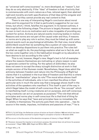as "universal self-consciousness" or, more developed, as "reason"), but they do so only abstractly. If the "Idea" of freedom is that of activity that is commensurate with one's nature as a free, rational agent, then abstract right and morality are both specifications of that Idea (of the singular and universal), but they cannot provide any real content to that.

There is one way of interpreting Hegel's conclusion about moral ethos and his argument for it that is particularly suggestive for our own times, but which, I think, falsifies his argument. In its barest outlines, it has roughly the following shape. The picture is largely Humean: reason on its own is inert vis-à-vis motivation and is also incapable of providing any content for action. Actions are natural events involving bodies in motion. Reasons and norms are not part of the causal order and thus, if reasons or norms are to play any role in action, they must be linked up with some natural events such as psychological attitudes. On that view, moral ethos (*Sittlichkeit*) would then be something like a system of rules towards which we develop dispositions to put them into practice. The rules tell us what we ought to do, the psychology explains what we in fact do, and the two come together only in the habituation brought on by education to have desires to act according to the rules.<sup>28</sup>

This is not, however, Hegel's view. Hegel's text is full of examples where the reasons themselves are motivating or where reason is said to generate content for willing. For the sphere of *Sittlichkeit*, he also does not seem to accept the sharp is/ought distinction at work in that simple version of the Humean model. Nonetheless, Hegel does admit the antinomy between freedom and nature into the *Philosophy of Right* but claims that it is sublated in the true Idea of freedom and that this is where Geist as "manifestation" plays its role.<sup>29</sup> The moral ethos shows itself in the activities of individuals, who in turn manifest the ethos in their particular acts in much the same way that a language shows itself in the activities of the speakers who manifest it. This itself is part of the way in which Hegel takes the model of self-conscious life as "the concept" which is manifesting itself. Living creatures act on purposes, and self-conscious living creatures can act on purposes *as* purposes.30 The role that ethical principles and norms play in self-conscious life is that kind of thing for Hegel. When he says that "laws and principles have no immediate life or validity in themselves. The activity puts them into operation … has its source in the needs, impulses, inclinations and passions of man,"<sup>31</sup> he is

31 Hegel 1975, p. 70.

318 Should Hegelian Political Philosophy Jettison the Absolute?... C

<sup>28</sup> This is, by and large, the Sellarsian picture of action as found in Sellars 1968 and which has been substantively and subtly reworked to explain Hegel's conception of action in Brandom 2019.

<sup>29</sup> This occurs in the discussion of the absolute wrongness of slavery in Hegel 1991,§57.

<sup>30 &</sup>quot;However, because the impulse is not a known purpose, the animal does not yet know its purpose as a purpose."; Hegel 1969b, §360; Hegel and Miller 2004, p. 389.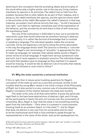adverting to the conception that the animating ideals and principles of the moral ethos play a highly similar role to the way any living creature manifests its species in its activities. The rabbit tries to hide from the predator because that is what rabbits do as part of their makeup, and in doing so, the rabbit manifests the species, and the species shows itself in the activities of the rabbit. We explain the rabbit's behavior in that way. Likewise, we explain much ethical activity that way – "he did it because it was right," such that its rightness constitutes part of the explanation of the behavior, and the normativity at work there is that of self-conscious life manifesting itself.

The role of the institutions in *Sittlichkeit* is thus not to provide the naturalistic push that would otherwise be somehow lacking in abstract right or morality. It is rather like the kind of knowledge that is involved in speaking a language. The individual speaker makes the universal concrete, not by just applying a rule but by being the active participant in the way the language shows itself. The practice is thereby a "concrete universal." Hegel's own terminology of "actuality" is appropriate for this. A made-up language, for example, that nobody spoke would in Hegel's sense not be an actual language. It might have various syntactical rules and such, but it never appears in anybody's practice. The individual shape and style that speakers give to language as they manifest it in speech would be missing. It would be like an abstract rule of morality that nobody ever actually followed or even tried to follow.32

#### **VI: Why the state cannot be a universal institution**

If this is right, then it raises some troubling questions for Hegel's conception of the state as such as a concrete universal, similar to the troubles that the young Marx raised in his initial critique of the *Philosophy of Right*, but it also points to a very common way of misunderstanding Hegel's conception of the relation between the state and morality.

The state is the unity of all that came before. It gives the particular legal flesh to the bare bone abstractions of abstract right, and it brings all the participants in family life and civil society into the universality of citizenship. Now, Hegel is clear that the state is not something existing apart from the individuals – "Only when it is present in consciousness, knowing itself an an existent object, is it the state"<sup>33</sup> – but for Hegel that does not detract in any way from its universality and its claim to be the institutional point that is fully entitled to speak through its representatives in the name of the whole. Just as the spokesperson for,

I S & C R I T I Q U E / Volume 8

Issue 2

C R I S

<sup>32</sup> Something like this thesis about the relation between "abstract right" and "morality" is one of the key theses of Kervégan, Ginsburg, and Shuster 2018

<sup>33</sup> Hegel 1991, §258, Zusatz. p. 279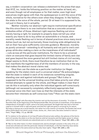say, a modern corporation can release a statement to the press that says that XYZ, inc. holds the following position on the matter at hand, etc., and even though not all employees or for that matter, even high level executives might agree with that, the spokesperson is still the voice of the whole, normative for the others even when they disagree. In like fashion, the state is the voice of the whole, period. Or at least it is supposed to be, not just in theory, but in actuality.

Neither morality nor abstract right require institutional specification like this since there is no one institution that as a concrete universal embodies either of those. Abstract right requires fleshing out since merely having a right, for example to property does not tell you what exactly you have to do to buy either an automobile or a house, and morality needs fleshing out in terms of shared practices since many moral duties (such as, but not exclusively, those involving wide obligations) do not on their face give sufficiently concrete guidance. Moreover, morality as purely universal – extending to all humanity and not just to one's own group while also making a claim on the inwardness of all individuals<sup>34</sup> – cuts across all the particular institutions. For there to be a universal claim on everyone that goes beyond the limited claims of family and clan and goes beyond the more general but still limited claims of civil society, Hegel seems to think, there must therefore be an institution that on its own manifests the togetherness of all the members of society in the way that makes the abstract moral claims real.

How then can the state as a particular institution (or Hegel, speaking for the state) claim such a universal status? He acknowledges that the state is indeed in each of its instances something singular, standing over and against individuals and groups.<sup>35</sup> But it also is supposed to be the universal binding voice that takes priority over other limited attempts to speak for the whole, and Hegel makes it clear that it can do this in actuality only when the individual agents self-consciously (although not necessarily completely reflectively) appropriate that universal voice into their own lives so that the interests of the state become their interests as self-conscious lives.<sup>36</sup> How can the state claim

C

<sup>34</sup> This is why Hegel calls Socrates the inventor and not the discoverer of morality: "It is then in Socrates that, at the beginning of the Peloponnesian War, the principle of inwardness, of the absolute independence of thought in itself, came to be freely expressed. He taught that man has to find and cognize in himself what is right and good, and that this right and good is universal by its nature. Socrates is famous as a moral teacher; but rather he is the *inventor* of morality. The Greeks had moral ethos (*Sittlichkeit*); but which moral virtues, duties, etc., there were, Socrates wished to instruct them," Hegel 1969g, v 12, pp. 328-329

<sup>35 &</sup>quot;In relation to the spheres of civil law [*Privatrecht*] and private welfare, the spheres of the family and civil society, the state is on the one hand an *external* necessity and the higher power to whose nature their laws and interests are subordinate and on which they depend," Hegel 1991, §260, p. 283.

<sup>36 &</sup>quot;But on the other hand, it is their immanent end, and its strength consists in the unity of its universal and ultimate end with the particular interest of individuals, in the fact that they have duties towards the state to the same extent as they also have rights," Hegel 1991, §260, p. 283.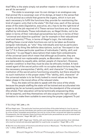that? Why is the state simply not another master in relation to which we are all its servants?

The state is sovereign over its own doings in an analogous way that animal life is sovereign over of its doings, at least in the sense that it is the animal as a whole that governs the organs, which in turn are each necessary to fulfill the functions they provide for maintaining the kind of organic unity that is the state.<sup>37</sup> On that view, each of the various areas of the state (legislative, executive, etc.) has to be the right kind of organ to do the job required of it. These various functions are, of course, staffed by individuals. These individuals are, so Hegel thinks, not to be taken in terms of their individual personalities but only in terms of their "universal and objective qualities" (as for example in their educational level and talents).38 Thus, in terms of Hegel's *Logic*, the individuals staffing these crucial state functions are not to be taken as *Einzelne* (singular individuals, as "who" they individually are) but as particulars (picked out by thing like definite descriptions, such as "the expert in tax law").<sup>39</sup> It is these particular qualities of individuals ("ability, skill, and character," to use Hegel's description) that make them embodiments of the universal (and which mean that although as *Einzelne*, they are irreducible and non-replaceable people, as *Besondere* – particular – they are replaceable by equally able, skilled, people of character). However, another condition is that they must be also be ethically minded. A hardnosed agent of the secret police with no scruples about torture may have the necessary prerequisites ("ability, skill, and character") to keep the institution of the secret police functioning smoothly, but there should be no such institution in the proper state.<sup>40</sup>The "ability, skill, character" of the universal estate is to be firmly looked to moral values as they have taken shape in the moral ethos of the relevant state.

Thus, the state will be able to speak with the voice of the whole because the people staffing the state will be trained and acculturated into speaking (as far as humanly possible) from the standpoint of the universal (the whole). Their education will be be technically empowering (they will be experts), and they themselves will also acquire the right cultural formation to make them suitable to exercising the proper judgment. To put

38 Thus Hegel says, "The particular functions and activities of the state belong to it as its own essential moments, and the individuals who perform and implement them are associated with them not by virtue of their immediate personalities, but only by virtue of their universal and objective qualities. Consequently, the link between these functions and particular personalities as such is external and contingent in character," Hegel 1991, §277, p. 314.

39 In the Zusatz to §277, Hegel says "Ability, skill, and character are particularities of an individual, who must be trained and educated (*gebildet*) for a particular occupation," Hegel 1991, p. 314.

40 See the nice discussion of functions and ethical norms in Neuhouser, "The Normativity of Forms of Life," in Allen, 2018 #4778, pp. 59-74.

C R I S I S & C R I T I Q U E / Volume 8 Issue 2

<sup>37</sup> See (Hegel 1991), §269, p. 278.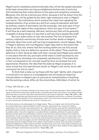Hegel's point completely anachronistically, they will be the people educated at the best universities serving as enlightened technocrats of sorts but still maintaining their subscriptions to the opera and symphony orchestra. Moreover, this will be a meritocracy which, because it will be drawn from the middle class, will be guided by the other right institutions, and, in Hegel's own terms, "the institutions which prevent this class from adopting the isolated position of an aristocracy and from using its education and skill as arbitrary means of domination are the sovereign, who acts upon it from above, and the rights of the corporations, which act upon it from below."41 It will thus be a well-meaning, efficient, meritocracy that will be generally incapable of doing things in a way that is self-serving to people like itself.

No such state exists or ever has existed. The rise of twenty-first century capitalist meritocracy throws even further doubt on Hegel's optimism about how such self-serving arrangements cannot happen. Now, in Hegel's defense, the true Hegelian might reply that to the extent that they do so, this only means that the existing states are not fully actual states, that is, they are defective versions of the state.<sup>42</sup> They would be defective in their being at odds with their concept (and Hegel even admits in one place that the very principle of the state is itself necessarily onesided and thus ultimately not completely satisfactory).<sup>43</sup> The state that in fact corresponds to its concept would be thus not existent but only aspirational. However, the idea that the state as Hegel proposes it is never actual but only aspirational would, on Hegel's own terms, be an odd conclusion for him to reach.

To think that a state run by those with the right "ability, skill, character" is universal in its nature is a misjudgment, but not simply an empirical miscalculation on Hegel's part no just just an overestimation of anything like the existing culture. After all, the moral ethos, *Sittlichkeit*, of which he

41 Hegel, 1991 #735. §277, p. 335.

42 "If this unity is not present, nothing can be actual, even if it may be assumed to have existence [*Existenz*]. A bad state is one which merely exists; a sick body also exists, but it has no true reality. A hand which has been cut off still looks like a hand and exists, but it has no actuality." Hegel 1991, §270, p. 302, Zusatz. Hegel might also say that the pernicious form of capitalist meritocracy in present circumstances has to do with the abolition of the corporations, which in his mind were necessary to provide a brake on such meritocratic tendencies (as a kind of "I told you so").

43 In the lectures on the philosophy of art, Hegel states: "Now, at a higher level, the life of the state, as a whole, does form a perfect totality in itself: monarch, government, law-courts, the military, organization of civil society, and associations, etc., rights and duties, aims and their satisfaction, the prescribed modes of action, duty-performance, whereby this political whole brings about and retains its stable reality—this entire organism is rounded off and completely perfected in a genuine state. But the principle itself, the actualization of which is the life of the state and wherein man seeks his satisfaction, is still once again one-sided and inherently abstract, no matter in how many ways it may be articulated without and within. It is only the rational freedom of the will which is explicit here; it is only in the state—and once again only this individual state—and therefore again in a particular sphere of existence and the isolated reality of this sphere, that freedom is actual. Thus man feels too that the rights and obligations in these regions and their mundane and, once more, finite mode of existence are insufficient; he feels that both in their objective character, and also in their relation to the subject, they need a still higher confirmation and sanction," Hegel 1988, p. 99

C R I T I Q U E / Volume 8

C R I S I S &

Issue 2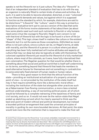speaks is not the lifeworld nor is it just culture. The idea of a "lifeworld" is that of an independent standard of evaluation that has to do with the way an organism is naturally fitted to certain kinds of values and activities. As such, it is said to be able to become alienated, distorted, or even "colonized" by non-lifeworld demands and values, but against which it is supposed to function as the standard by which, for example, distortions are said to be distortions.<sup>44</sup> "Lifeworld," like "culture," used in this way is primarily a descriptive-evaluative term put to use as a version of the idea that some evaluations of life forms involve statements of fact about them (as about how some plants need such and such nutrients to flourish or why humans need some virtue like courage to flourish). Hegel's own concern is not with that kind of lifeworld but with the logic to be found in a form of life (or "shape" of life). This logic *shows* itself in matters like culture or the existent lifeworld, but it is not the same as those conceptions. *Sittlichkeit* as moral ethos is not just culture, since a culture can be, on Hegel's terms, at odds with morality, and the lifeworld of a person in a culture where just about everything has been fully marketized will involve attitudes and aspects of culture that may run deep but also be logically at odds with themselves. The colonized capitalist lifeworld just would be the lifeworld of a fully marketized culture, where most of the colonials, as it were, have fully internalized their own colonization. The Hegelian question for that would be whether there is something about that social and political world that is itself self-undermining on its terms, something beyond that lifeworld that leads the members to posit alternative futures for themselves and not something in contradiction to some externally fixed element of human needs or human nature.

There is thus good reason to think that the ethical function of the state – providing an institutional actualization of a properly universal point of view – is not provided by the institution of the state itself but may in fact require something more like a democratic moral ethos – including the institution of the state but alongside other practices such as a Habermasian free-flowing communication, a more class oriented political understanding, a way of reorienting political power, all of which would be followed by a complete redrawing of the baselines of family and civil society, and so on. It would not even be the nation-state that Hegel ended up sketching out and which he clearly seemed to think was the best end-point of modern ethical and political development, but instead a bounded political arrangement that used the universal principles of morality in guiding its own more bounded decisions. At that point, the state would look more like the institution that is required to make the final call

C R I S I

<sup>44</sup> Juliet Floyd characterizes the lifeworld as "is an actual, embedded, meaningful environment for a living being (a human or other kind of animal). It forms a kind of subject matter, an unfolding field of meaning that may be directly illuminated and described." She contrasts this with Wittgenstein's conception of a form of life (*Lebensform*) in ways that harmonize with Hegel's own conception of a "form" or "shape" of life (*Gestalt des Lebens*), although that comparison is not part of her argument. See Floyd 2021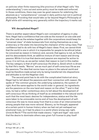on policies when finite reasoning (the province of what Hegel calls "the understanding") runs out and some policy must be made and enforced. In those conditions, there may even be good reasons for sidelining the absolute as a "comprehensive" concept in daily politics but not in political philosophy. Providing that would take us far beyond Hegel's *Philosophy of Right* while still remaining very generally within the trajectory it marks out.

#### **VII: decapitated Hegel?**

There is another aspect about Hegel's own conception of agency in play here. Hegel had a confidence that one side as the monarch on one side and the other side as the estates together with the corporations would keep the "universal class" of state bureaucrats from styling themselves as a new aristocracy or the state into becoming the champion of the ruling class. That confidence had to do with two of Hegel's basic ideas: First, we cannot think that the world is one in which it is impossible for people to be ethical (what he conceived as reason in history); and, second, that agency is not, as Hume and his descendants think, an additive mixture of inert reason and driving passion. While it is true that desire and passion are required for action to occur, it is not true, as we earlier noted, that reason is inert in this matter. The key category is that of self-conscious life (that is, *Geist*) which is driven by that life's needs. "Norms" are as much part of self-conscious life as are the passions. The idea that norms have no place in the natural world and must be therefore made actual only by being transferred into dispositions and attitudes is not the Hegelian view.

The second point has to do with the complicated historical story Hegel had to tell about the passions and their connection with reason. He spoke of "the common ground, the underlying substance, the system of right. And the same applies to the world order in general; its ingredients are the passions on the one hand and reason on the other,"45 and in that view, he had a rather contentious story to tell about the development of self-conscious life as thinking of itself as so embedded in the natural world such that the most basic desires for independence, status and the like were taken to be unmovable norms and of how the development of selfconscious life was to move away from that to a view of an interconnection among people that was more rational. Slavery, so he thought, appeared at a certain point in human history when we had not yet reshaped our emotional lives, so it had its place in a world where wrong was right, *Unrecht Recht*. 46 The world that made slavery "right and legal" was such that the desire to dominate others was given full license to play itself

45 Hegel 1975, p. 72.

46 Hegel 1991, §57, p. 126.

324 Should Hegelian Political Philosophy Jettison the Absolute?... Issue 2

C R  $\mathbf{I}$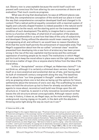out. Slavery now is unacceptable because the world itself could not prevent self-conscious life from altering its own economies of desire and evaluation. That much counts as progress.

What was driving that development, he says at different places was the Idea, the comprehensive conception of the world and our place in it and the way that comprehensive conception developed itself and changed in its content. That a radical political equality consistent with a maximal system of legally and culturally shaped freedom is indeed possible in the natural world would have to be the result, not the starting point nor the transcendental condition of such development. The ability to imagine that in concrete terms is a function of the Idea, of what kind of conception of the absolute is itself comprehensible to us and how that Idea of the unity of subjectivity and developed. Doing without the absolute would mean ceasing to think of progressing at all, and without it, we would have no reason therefore to think that the world itself permits the achievement of reasonable ends. That Hegel's supposition about how the so-called "universal class" would be prevented from developing into a new form of aristocracy has been proven wrong in the rise of the new capitalist meritocracies and the continued oppression of working people as its result. The institutions in which Hegel put his trust to keep the moral ethos in place were not the right ones, and they did not as a matter of logic (his or anyone else's) follow from the Idea of the moral ethos.

Is this a "decapitated" version of Hegel, as Habermas claims?47 I do not think so, although it is certainly a slimmed down version, having set itself on a more analytical and existential diet as of late, and having shed its bulk of nineteenth century overgrowth along the way. The baselines tell us about how "our time grasped in thought" understands itself not only as grasping where one is but also as laying out the options for future settlements about the tensions of one's own day. The scaffolding he erects does not hold the structure up but is there for already socialized, finite agents to move about, reconstruct and build new things upon the old structure or, if need be, to assist in a fully renovative reconstruction that leaves the old structure almost unrecognizable. Although reason works its way in history, it does so, as Hegel says, as the mole working silently underground, moving zigzag on its path, in the dark with the absolute throwing some light along the way as much as it can. $48$ 

47 Habermas 2019, p. 509.

48 Against Hegel in this regard, Habermas says: "Practical reason does not go to court in the tumult of historical contingency in the sovereign manner of a dialectically far reaching absolute spirit, but, as Marx says, as a mole – namely in the mode of the fallibly cognitive, socially cognitive and political-moral learning processes of the socialized subjects themselves," Habermas 2019, p. 555. However, Marx almost certainly got the image of the mole silently working underground from Hegel himself, as Habermas himself would know, as when Hegel says: "We have to listen to spirit's urging – when the mole burrows on within – and to give it actuality; its urgings are an absolutely necessary progress, which expresses nothing but the nature of the spirit itself and lives in all of us," Hegel 1969f, p. 462, vol. 20. In that regard, the "absolute" works in favor of Habermas' own idea of fallible subjects working out their destiny.

R I S I S & C R I T  $\mathbf{I}$ Q U E / Volume 8 Issue 2

C

Should Hegelian Political Philosophy Jettison the Absolute?...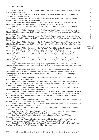| <b>BIBLIOGRAPHY</b>                                                                                                                                                                                | С<br>$\mathsf R$  |
|----------------------------------------------------------------------------------------------------------------------------------------------------------------------------------------------------|-------------------|
| Alznauer, Mark. 2016. "Rival Versions of Objective Spirit." Hegel Bulletin of the Hegel Society                                                                                                    | $\mathbf{I}$      |
| of Great Britain 37 (2):209-231.                                                                                                                                                                   | $\mathbb S$       |
| Aristotle. 1941. "Rhetoric." In The basic works of Aristotle, edited by Richard McKeon, 1317-<br>1451. New York,: Random House.                                                                    | $\mathbf{I}$<br>S |
| Brandom, Robert. 2019. A spirit of trust: a reading of Hegel's Phenomenology. Cambridge,                                                                                                           |                   |
| Massachusetts: The Belknap Press of Harvard University Press.                                                                                                                                      | &                 |
| Floyd, Juliet. 2021. "Lebensformen: Living Logic." In Language, Form(s) of Life and Logic:                                                                                                         |                   |
| Invesgitations after Wittgenstein, edited by Christian Martn. Berlin: de Gruyter.                                                                                                                  | $\mathsf C$       |
| Habermas, Jürgen. 2019. Auch eine Geschichte der Philosophie. Erste Auflage. ed. Berlin:<br>Suhrkamp.                                                                                              | R<br>$\mathbf{L}$ |
| Hegel, Georg Wilhelm Friedrich. 1969a. Enzyklopädie der philosophischen Wissenschaften I.                                                                                                          | $\top$            |
| Edited by Eva Moldenhauer and Karl Markus Michel. 20 vols. Vol. 8, Theorie-Werkausgabe. Frankfurt a.                                                                                               | $\mathbf{I}$      |
| M.: Suhrkamp.                                                                                                                                                                                      | Q                 |
| Hegel, Georg Wilhelm Friedrich. 1969b. Enzyklopädie der philosophischen Wissenschaften II.                                                                                                         | U                 |
| Edited by Eva; Michel Moldenhauer, Karl Markus. 20 vols. Vol. 9, Theorie-Werkausgabe. Frankfurt a. M.:                                                                                             | Ε                 |
| Suhrkamp.<br>Hegel, Georg Wilhelm Friedrich. 1969c. Enzyklopädie der philosophischen Wissenschaften III.                                                                                           |                   |
| Edited by Eva Moldenhauer and Karl Markus Michel. 20 vols. Vol. 10, Theorie-Werkausgabe. Frankfurt a.                                                                                              |                   |
| M.: Suhrkamp.                                                                                                                                                                                      | Volume 8          |
| Hegel, Georg Wilhelm Friedrich. 1969d. Frühe Schriften. Edited by Eva Moldenhauer and Karl                                                                                                         | Issue 2           |
| Markus Michel. 20 vols. Vol. 1, Theorie-Werkausgabe. Frankfurt a. M.: Suhrkamp.                                                                                                                    |                   |
| Hegel, Georg Wilhelm Friedrich. 1969e. Vorlesungen über die Geschichte der Philosophie I.<br>Edited by Eva Moldenhauer and Karl Markus Michel. 20 vols. Vol. 18, Theorie-Werkausgabe. Frankfurt a. |                   |
| M.: Suhrkamp.                                                                                                                                                                                      |                   |
| Hegel, Georg Wilhelm Friedrich. 1969f. Vorlesungen über die Geschichte der Philosophie III.                                                                                                        |                   |
| Edited by Eva Moldenhauer and Karl Markus Michel. 20 vols. Vol. 20, Theorie-Werkausgabe. Frankfurt a.                                                                                              |                   |
| M.: Suhrkamp.                                                                                                                                                                                      |                   |
| Hegel, Georg Wilhelm Friedrich. 1969g. Vorlesungen über die Philosophie der Geschichte.<br>Edited by Eva Moldenhauer and Karl Markus Michel. 20 vols. Vol. 12, Theorie-Werkausgabe. Frankfurt a.   |                   |
| M.: Suhrkamp.                                                                                                                                                                                      |                   |
| Hegel, Georg Wilhelm Friedrich. 1975. Lectures on the Philosophy of World History:                                                                                                                 |                   |
| Introduction, Reason in History. Translated by H. B. Nisbet. Edited by Johannes Hoffmeister,                                                                                                       |                   |
| Cambridge studies in the history and theory of politics. Cambridge Eng.; New York: Cambridge                                                                                                       |                   |
| University Press.                                                                                                                                                                                  |                   |
| Hegel, Georg Wilhelm Friedrich. 1988. Aesthetics : lectures on fine art. Translated by T. M.<br>Knox. 2 vols. Oxford: Clarendon Press.                                                             |                   |
| Hegel, Georg Wilhelm Friedrich. 1991. Elements of the philosophy of right. Translated by Hugh                                                                                                      |                   |
| Barr Nisbet. Edited by Allen W. Wood, Cambridge texts in the history of political thought. Cambridge                                                                                               |                   |
| [England]; New York: Cambridge University Press.                                                                                                                                                   |                   |
| Hegel, Georg Wilhelm Friedrich, and Johannes Hoffmeister. 1961. Briefe von und an Hegel. [2.                                                                                                       |                   |
| unveränderte Aufl.] ed. 4 vols. Hamburg,: Felix Meiner.<br>Hegel, Georg Wilhelm Friedrich, and Arnold V. Miller. 2004. Hegel's philosophy of nature : being                                        |                   |
| part two of the Encyclopedia of the philosophical sciences (1830), translated from Nicolin and Pöggeler's                                                                                          |                   |
| edition (1959), and from the Zusätze in Michelet's text (1847). Oxford/ New York: Clarendon Press;                                                                                                 |                   |
| <b>Oxford University Press.</b>                                                                                                                                                                    |                   |
| Hegel, Georg Wilhelm Friedrich, and Terry P. Pinkard. 2018. Georg Wilhelm Friedrich Hegel : The                                                                                                    |                   |
| phenomenology of spirit. New York: Cambridge University Press.<br>Honneth, Axel. 2013. Freedom's right : the social foundations of democratic life, New directions                                 |                   |
| in critical theory. New York: Columbia University Press.                                                                                                                                           |                   |
| Kant, Immanuel. 1929. Immanuel Kant's Critique of pure reason. Translated by Norman Kemp                                                                                                           |                   |
| Smith. London: Macmillan.                                                                                                                                                                          |                   |
| Kern, Andrea. 2019. "Life and Mind: Varieties of Neo-Aristotelianism: Naive, Sophisticated,                                                                                                        |                   |
| Hegelian." Hegel Bulletin of the Hegel Society of Great Britain 41 (1):40-60.                                                                                                                      |                   |
| Kern, Andrea. 2020. "Human Life, Rationality and Education." Journal of Philosophy of<br>Education 54 (2):268-289.                                                                                 |                   |
| Kervégan, Jean-François, Daniela Ginsburg, and Martin Shuster. 2018. The actual and the                                                                                                            |                   |
| rational : Hegel and objective spirit. Chicago ; London: The University of Chicago Press.                                                                                                          |                   |

Riedel, Manfred. 1975. *Materialien zu Hegels Rechtsphilosophie*. 1. Aufl. ed. 2 vols, *Suhrkamp Taschenbuch Wissenschaft 88-89*. Frankfurt am Main: Suhrkamp.